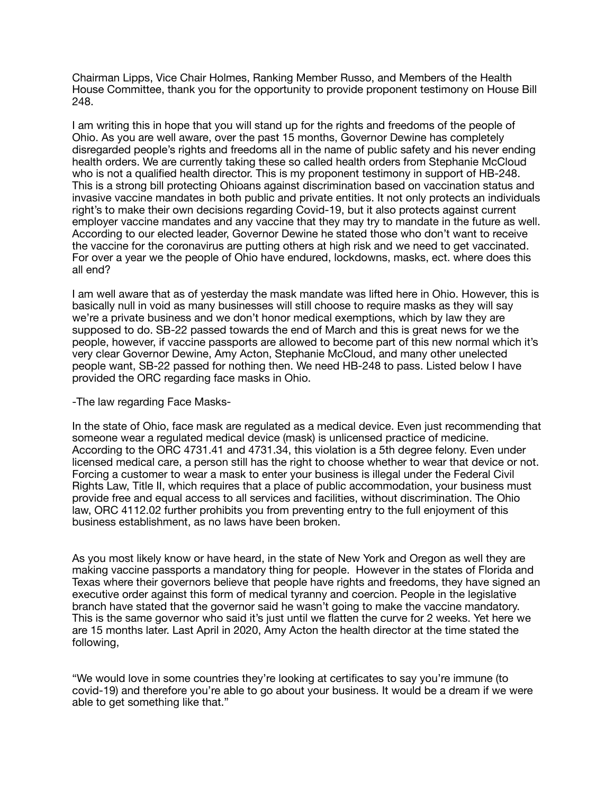Chairman Lipps, Vice Chair Holmes, Ranking Member Russo, and Members of the Health House Committee, thank you for the opportunity to provide proponent testimony on House Bill 248.

I am writing this in hope that you will stand up for the rights and freedoms of the people of Ohio. As you are well aware, over the past 15 months, Governor Dewine has completely disregarded people's rights and freedoms all in the name of public safety and his never ending health orders. We are currently taking these so called health orders from Stephanie McCloud who is not a qualified health director. This is my proponent testimony in support of HB-248. This is a strong bill protecting Ohioans against discrimination based on vaccination status and invasive vaccine mandates in both public and private entities. It not only protects an individuals right's to make their own decisions regarding Covid-19, but it also protects against current employer vaccine mandates and any vaccine that they may try to mandate in the future as well. According to our elected leader, Governor Dewine he stated those who don't want to receive the vaccine for the coronavirus are putting others at high risk and we need to get vaccinated. For over a year we the people of Ohio have endured, lockdowns, masks, ect. where does this all end?

I am well aware that as of yesterday the mask mandate was lifted here in Ohio. However, this is basically null in void as many businesses will still choose to require masks as they will say we're a private business and we don't honor medical exemptions, which by law they are supposed to do. SB-22 passed towards the end of March and this is great news for we the people, however, if vaccine passports are allowed to become part of this new normal which it's very clear Governor Dewine, Amy Acton, Stephanie McCloud, and many other unelected people want, SB-22 passed for nothing then. We need HB-248 to pass. Listed below I have provided the ORC regarding face masks in Ohio.

-The law regarding Face Masks-

In the state of Ohio, face mask are regulated as a medical device. Even just recommending that someone wear a regulated medical device (mask) is unlicensed practice of medicine. According to the ORC 4731.41 and 4731.34, this violation is a 5th degree felony. Even under licensed medical care, a person still has the right to choose whether to wear that device or not. Forcing a customer to wear a mask to enter your business is illegal under the Federal Civil Rights Law, Title II, which requires that a place of public accommodation, your business must provide free and equal access to all services and facilities, without discrimination. The Ohio law, ORC 4112.02 further prohibits you from preventing entry to the full enjoyment of this business establishment, as no laws have been broken.

As you most likely know or have heard, in the state of New York and Oregon as well they are making vaccine passports a mandatory thing for people. However in the states of Florida and Texas where their governors believe that people have rights and freedoms, they have signed an executive order against this form of medical tyranny and coercion. People in the legislative branch have stated that the governor said he wasn't going to make the vaccine mandatory. This is the same governor who said it's just until we flatten the curve for 2 weeks. Yet here we are 15 months later. Last April in 2020, Amy Acton the health director at the time stated the following,

"We would love in some countries they're looking at certificates to say you're immune (to covid-19) and therefore you're able to go about your business. It would be a dream if we were able to get something like that."